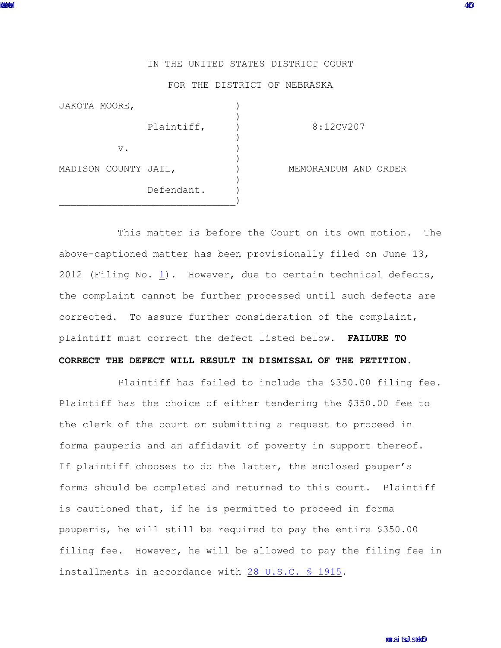## IN THE UNITED STATES DISTRICT COURT

## FOR THE DISTRICT OF NEBRASKA

| JAKOTA MOORE,        |            |                      |
|----------------------|------------|----------------------|
|                      | Plaintiff, | 8:12CV207            |
| $V$ .                |            |                      |
| MADISON COUNTY JAIL, |            | MEMORANDUM AND ORDER |
|                      | Defendant. |                      |

This matter is before the Court on its own motion. The above-captioned matter has been provisionally filed on June 13, 2012 (Filing No. [1](http://ecf.ned.uscourts.gov/doc1/11302547620)). However, due to certain technical defects, the complaint cannot be further processed until such defects are corrected. To assure further consideration of the complaint, plaintiff must correct the defect listed below. **FAILURE TO**

## **CORRECT THE DEFECT WILL RESULT IN DISMISSAL OF THE PETITION.**

Plaintiff has failed to include the \$350.00 filing fee. Plaintiff has the choice of either tendering the \$350.00 fee to the clerk of the court or submitting a request to proceed in forma pauperis and an affidavit of poverty in support thereof. If plaintiff chooses to do the latter, the enclosed pauper's forms should be completed and returned to this court. Plaintiff is cautioned that, if he is permitted to proceed in forma pauperis, he will still be required to pay the entire \$350.00 filing fee. However, he will be allowed to pay the filing fee in installments in accordance with [28 U.S.C. § 1915](http://web2.westlaw.com/find/default.wl?fn=_top&rs=WLW8.10&rp=%2ffind%2fdefault.wl&mt=Westlaw&vr=2.0&sv=Split&cite=28+usc+1915).